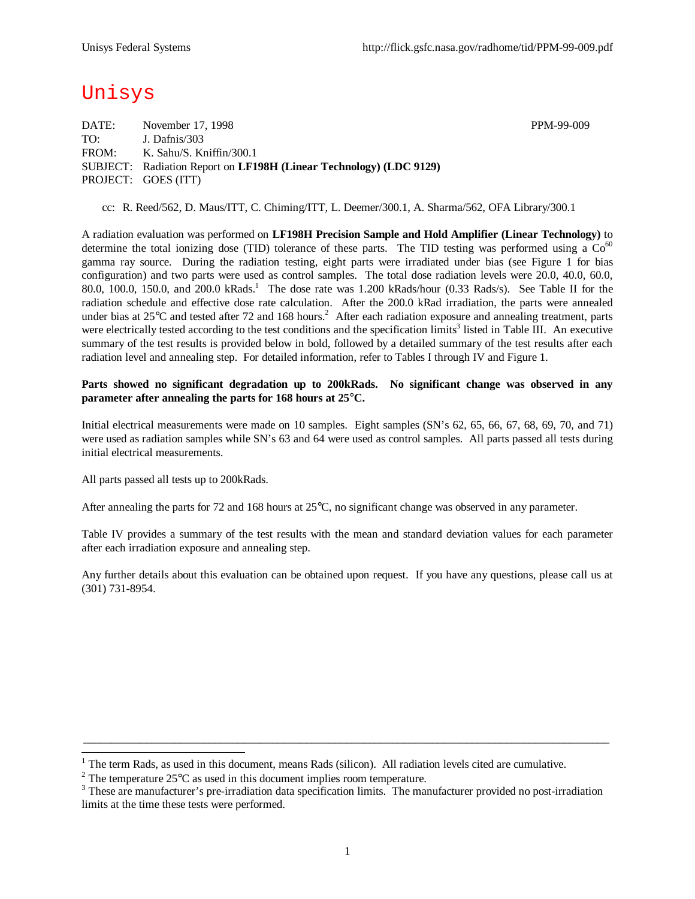# Unisys

DATE: November 17, 1998 PPM-99-009 TO: J. Dafnis/303 FROM: K. Sahu/S. Kniffin/300.1 SUBJECT: Radiation Report on **LF198H (Linear Technology) (LDC 9129)** PROJECT: GOES (ITT)

cc: R. Reed/562, D. Maus/ITT, C. Chiming/ITT, L. Deemer/300.1, A. Sharma/562, OFA Library/300.1

A radiation evaluation was performed on **LF198H Precision Sample and Hold Amplifier (Linear Technology)** to determine the total ionizing dose (TID) tolerance of these parts. The TID testing was performed using a  $Co<sup>60</sup>$ gamma ray source. During the radiation testing, eight parts were irradiated under bias (see Figure 1 for bias configuration) and two parts were used as control samples. The total dose radiation levels were 20.0, 40.0, 60.0, 80.0, 100.0, 150.0, and 200.0 kRads.<sup>1</sup> The dose rate was 1.200 kRads/hour (0.33 Rads/s). See Table II for the radiation schedule and effective dose rate calculation. After the 200.0 kRad irradiation, the parts were annealed under bias at 25°C and tested after 72 and 168 hours.<sup>2</sup> After each radiation exposure and annealing treatment, parts were electrically tested according to the test conditions and the specification limits<sup>3</sup> listed in Table III. An executive summary of the test results is provided below in bold, followed by a detailed summary of the test results after each radiation level and annealing step. For detailed information, refer to Tables I through IV and Figure 1.

#### **Parts showed no significant degradation up to 200kRads. No significant change was observed in any parameter after annealing the parts for 168 hours at 25°C.**

Initial electrical measurements were made on 10 samples. Eight samples (SN's 62, 65, 66, 67, 68, 69, 70, and 71) were used as radiation samples while SN's 63 and 64 were used as control samples. All parts passed all tests during initial electrical measurements.

All parts passed all tests up to 200kRads.

l

After annealing the parts for 72 and 168 hours at 25°C, no significant change was observed in any parameter.

Table IV provides a summary of the test results with the mean and standard deviation values for each parameter after each irradiation exposure and annealing step.

Any further details about this evaluation can be obtained upon request. If you have any questions, please call us at (301) 731-8954.

 $\_$  ,  $\_$  ,  $\_$  ,  $\_$  ,  $\_$  ,  $\_$  ,  $\_$  ,  $\_$  ,  $\_$  ,  $\_$  ,  $\_$  ,  $\_$  ,  $\_$  ,  $\_$  ,  $\_$  ,  $\_$  ,  $\_$  ,  $\_$  ,  $\_$  ,  $\_$  ,  $\_$  ,  $\_$  ,  $\_$  ,  $\_$  ,  $\_$  ,  $\_$  ,  $\_$  ,  $\_$  ,  $\_$  ,  $\_$  ,  $\_$  ,  $\_$  ,  $\_$  ,  $\_$  ,  $\_$  ,  $\_$  ,  $\_$  ,

 $1$  The term Rads, as used in this document, means Rads (silicon). All radiation levels cited are cumulative.

<sup>&</sup>lt;sup>2</sup> The temperature  $25^{\circ}$ C as used in this document implies room temperature.

 $3$  These are manufacturer's pre-irradiation data specification limits. The manufacturer provided no post-irradiation limits at the time these tests were performed.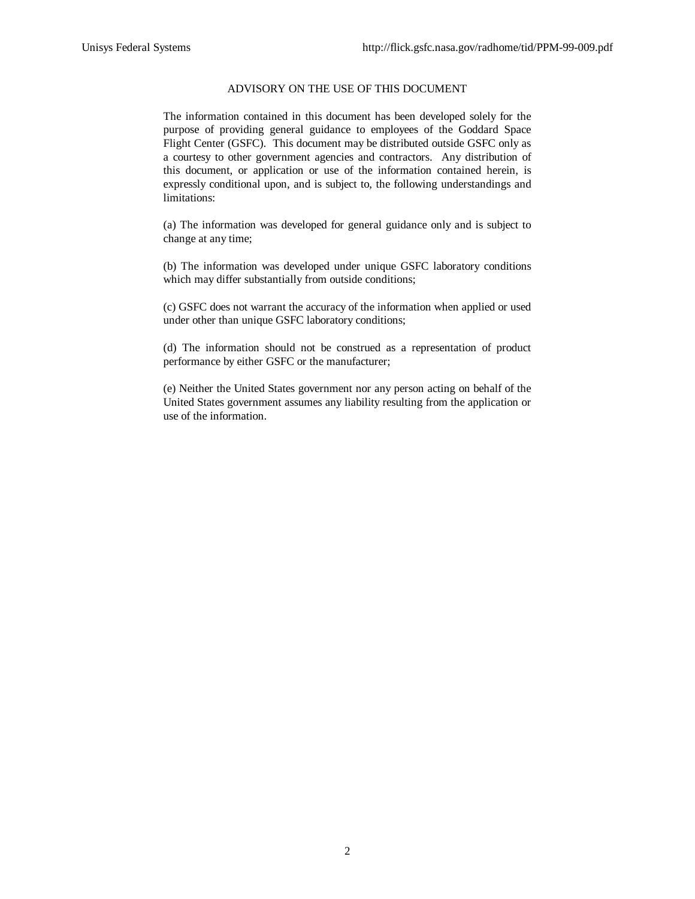### ADVISORY ON THE USE OF THIS DOCUMENT

The information contained in this document has been developed solely for the purpose of providing general guidance to employees of the Goddard Space Flight Center (GSFC). This document may be distributed outside GSFC only as a courtesy to other government agencies and contractors. Any distribution of this document, or application or use of the information contained herein, is expressly conditional upon, and is subject to, the following understandings and limitations:

(a) The information was developed for general guidance only and is subject to change at any time;

(b) The information was developed under unique GSFC laboratory conditions which may differ substantially from outside conditions;

(c) GSFC does not warrant the accuracy of the information when applied or used under other than unique GSFC laboratory conditions;

(d) The information should not be construed as a representation of product performance by either GSFC or the manufacturer;

(e) Neither the United States government nor any person acting on behalf of the United States government assumes any liability resulting from the application or use of the information.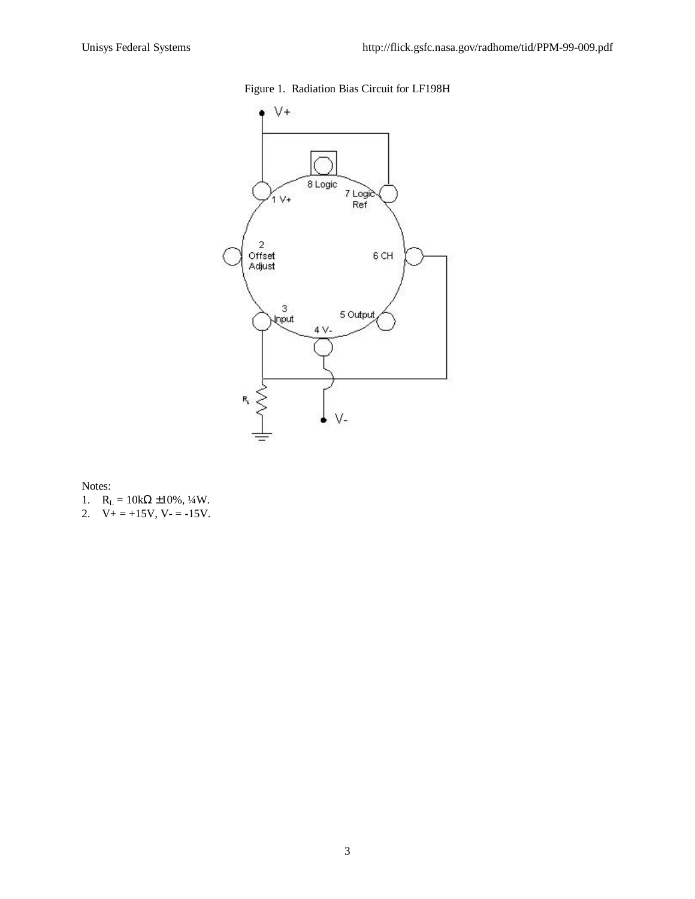



Notes:

- 1.  $R_L = 10kΩ ± 10%, 1/4W$ .
- 2.  $V_+ = +15V$ ,  $V_- = -15V$ .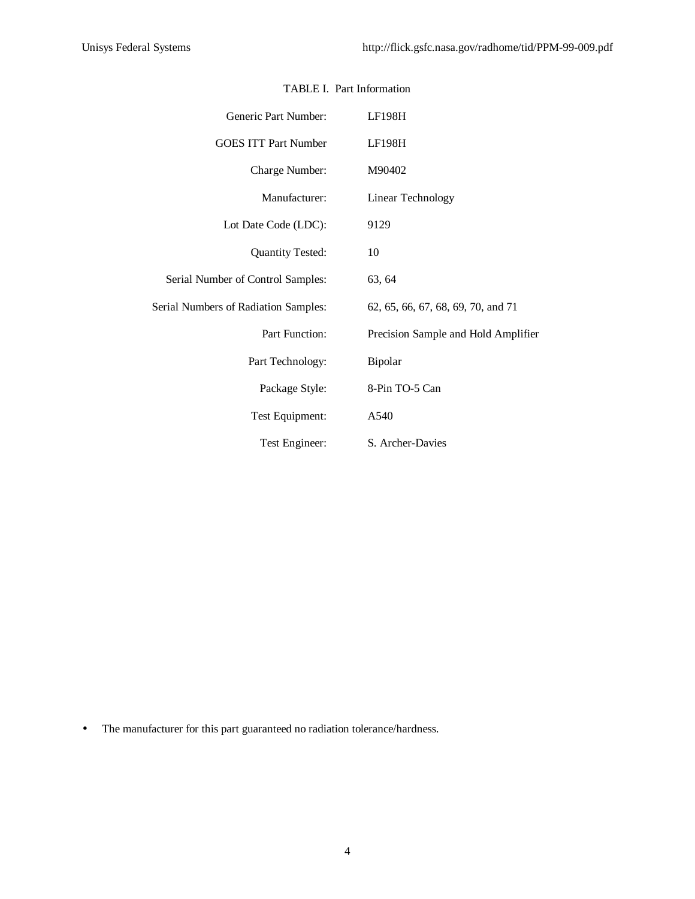| Generic Part Number:                 | LF198H                              |
|--------------------------------------|-------------------------------------|
| <b>GOES ITT Part Number</b>          | <b>LF198H</b>                       |
| Charge Number:                       | M90402                              |
| Manufacturer:                        | <b>Linear Technology</b>            |
| Lot Date Code (LDC):                 | 9129                                |
| <b>Quantity Tested:</b>              | 10                                  |
| Serial Number of Control Samples:    | 63, 64                              |
| Serial Numbers of Radiation Samples: | 62, 65, 66, 67, 68, 69, 70, and 71  |
| Part Function:                       | Precision Sample and Hold Amplifier |
| Part Technology:                     | Bipolar                             |
| Package Style:                       | 8-Pin TO-5 Can                      |
| Test Equipment:                      | A540                                |
| Test Engineer:                       | S. Archer-Davies                    |

#### TABLE I. Part Information

• The manufacturer for this part guaranteed no radiation tolerance/hardness.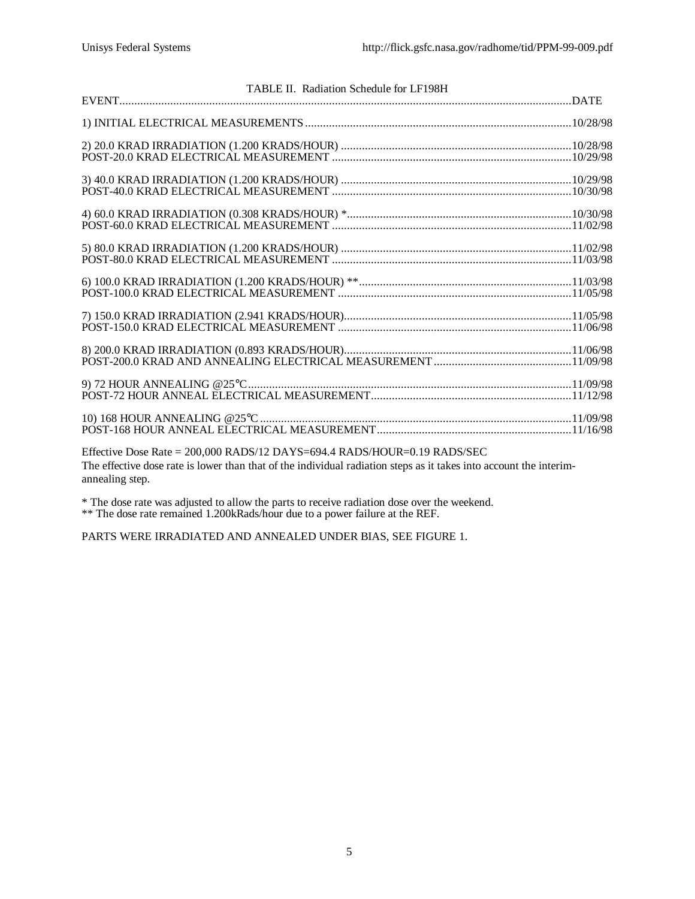| TABLE II. Radiation Schedule for LF198H                                                                                                                                                                           |  |
|-------------------------------------------------------------------------------------------------------------------------------------------------------------------------------------------------------------------|--|
|                                                                                                                                                                                                                   |  |
|                                                                                                                                                                                                                   |  |
|                                                                                                                                                                                                                   |  |
|                                                                                                                                                                                                                   |  |
|                                                                                                                                                                                                                   |  |
|                                                                                                                                                                                                                   |  |
|                                                                                                                                                                                                                   |  |
|                                                                                                                                                                                                                   |  |
|                                                                                                                                                                                                                   |  |
|                                                                                                                                                                                                                   |  |
|                                                                                                                                                                                                                   |  |
| Effective Dose Rate = 200,000 RADS/12 DAYS=694.4 RADS/HOUR=0.19 RADS/SEC<br>The effective dose rate is lower than that of the individual radiation steps as it takes into account the interim-<br>annealing step. |  |

\* The dose rate was adjusted to allow the parts to receive radiation dose over the weekend. \*\* The dose rate remained 1.200kRads/hour due to a power failure at the REF.

PARTS WERE IRRADIATED AND ANNEALED UNDER BIAS, SEE FIGURE 1.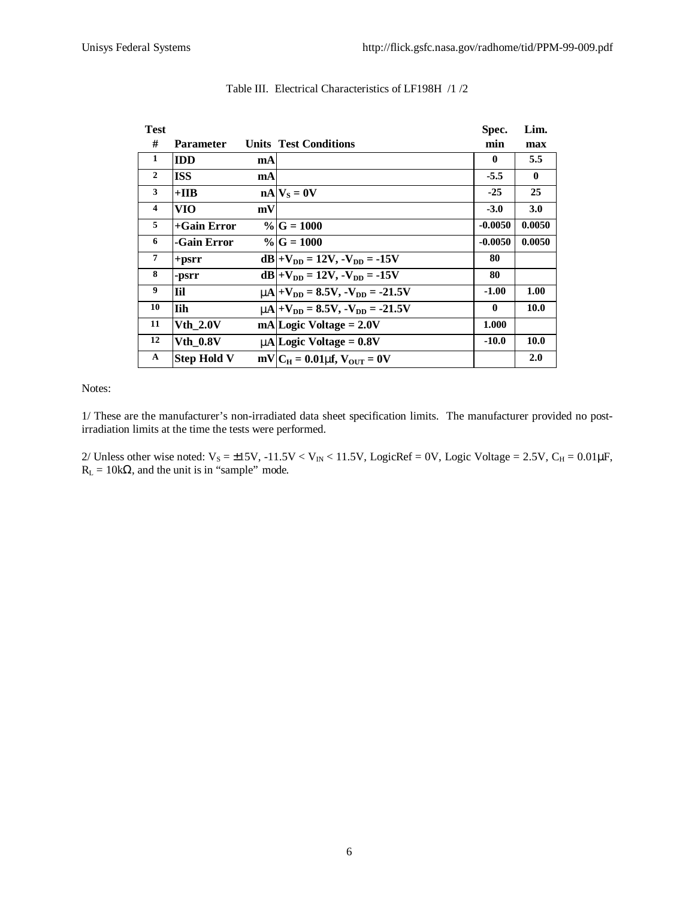| <b>Test</b>    |                    |    |                                                       | Spec.        | Lim.         |
|----------------|--------------------|----|-------------------------------------------------------|--------------|--------------|
| #              | Parameter          |    | <b>Units Test Conditions</b>                          | min          | max          |
| 1              | <b>IDD</b>         | mA |                                                       | 0            | 5.5          |
| $\overline{2}$ | <b>ISS</b>         | mA |                                                       | $-5.5$       | $\mathbf{0}$ |
| 3              | $+IIB$             |    | $nA$ $V_s = 0V$                                       | $-25$        | 25           |
| 4              | VIO                | mV |                                                       | $-3.0$       | 3.0          |
| 5              | $+$ Gain Error     |    | $\%$ G = 1000                                         | $-0.0050$    | 0.0050       |
| 6              | -Gain Error        |    | $\%$ G = 1000                                         | $-0.0050$    | 0.0050       |
| $\overline{7}$ | $+$ psrr           |    | $dB$  +V <sub>DD</sub> = 12V, -V <sub>DD</sub> = -15V | 80           |              |
| 8              | -psrr              |    | $dB +V_{DD} = 12V, -V_{DD} = -15V$                    | 80           |              |
| 9              | Til                |    | $mA+V_{DD} = 8.5V, -V_{DD} = -21.5V$                  | $-1.00$      | 1.00         |
| 10             | Iih                |    | $mA + V_{DD} = 8.5V, -V_{DD} = -21.5V$                | $\mathbf{0}$ | 10.0         |
| 11             | <b>Vth 2.0V</b>    |    | $mA Logic Voltage = 2.0V$                             | 1.000        |              |
| 12             | <b>Vth 0.8V</b>    |    | $m\Lambda$ Logic Voltage = 0.8V                       | $-10.0$      | 10.0         |
| $\mathbf A$    | <b>Step Hold V</b> |    | $mV/C_H = 0.01$ mf, $V_{\text{OUT}} = 0V$             |              | 2.0          |

## Table III. Electrical Characteristics of LF198H /1 /2

Notes:

1/ These are the manufacturer's non-irradiated data sheet specification limits. The manufacturer provided no postirradiation limits at the time the tests were performed.

2/ Unless other wise noted:  $V_s = \pm 15V$ ,  $-11.5V < V_{IN} < 11.5V$ , LogicRef = 0V, Logic Voltage = 2.5V, C<sub>H</sub> = 0.01 $\mu$ F,  $R_L = 10k\Omega$ , and the unit is in "sample" mode.